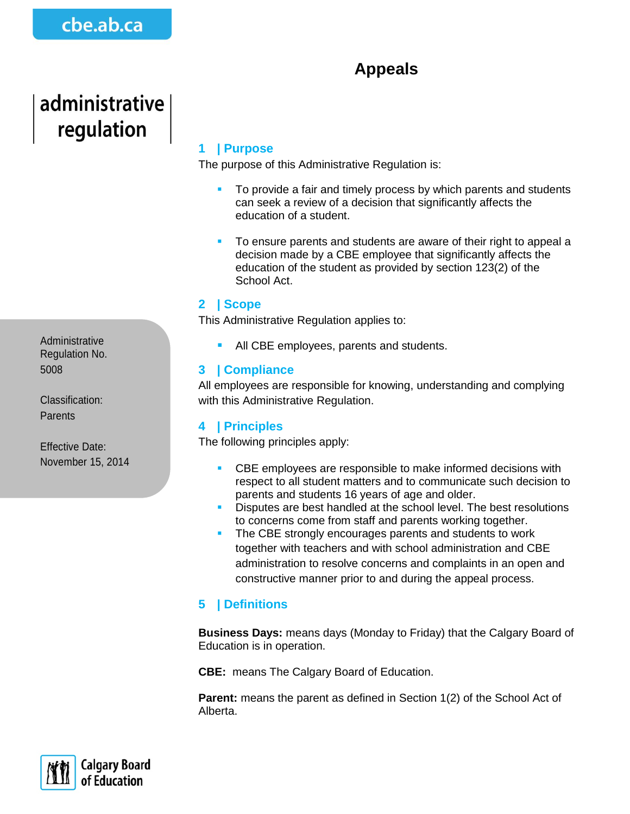# **Appeals**

# administrative regulation

Administrative Regulation No. 5008

Classification: **Parents** 

Effective Date: November 15, 2014

## **1 | Purpose**

The purpose of this Administrative Regulation is:

- To provide a fair and timely process by which parents and students can seek a review of a decision that significantly affects the education of a student.
- To ensure parents and students are aware of their right to appeal a decision made by a CBE employee that significantly affects the education of the student as provided by section 123(2) of the School Act.

#### **2 | Scope**

This Administrative Regulation applies to:

All CBE employees, parents and students.

#### **3 | Compliance**

All employees are responsible for knowing, understanding and complying with this Administrative Regulation.

#### **4 | Principles**

The following principles apply:

- CBE employees are responsible to make informed decisions with respect to all student matters and to communicate such decision to parents and students 16 years of age and older.
- Disputes are best handled at the school level. The best resolutions to concerns come from staff and parents working together.
- The CBE strongly encourages parents and students to work together with teachers and with school administration and CBE administration to resolve concerns and complaints in an open and constructive manner prior to and during the appeal process.

### **5 | Definitions**

**Business Days:** means days (Monday to Friday) that the Calgary Board of Education is in operation.

**CBE:** means The Calgary Board of Education.

**Parent:** means the parent as defined in Section 1(2) of the School Act of Alberta.

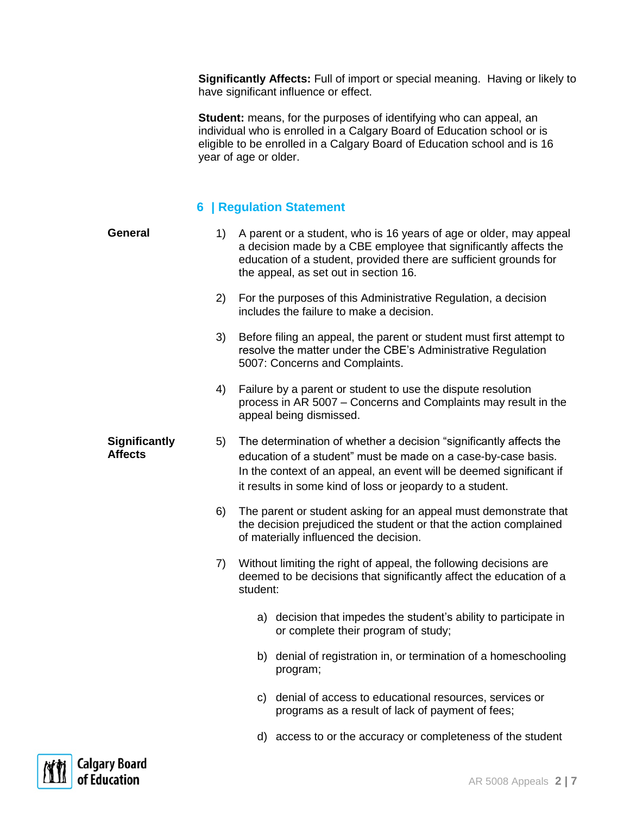**Significantly Affects:** Full of import or special meaning. Having or likely to have significant influence or effect.

**Student:** means, for the purposes of identifying who can appeal, an individual who is enrolled in a Calgary Board of Education school or is eligible to be enrolled in a Calgary Board of Education school and is 16 year of age or older.

#### **6 | Regulation Statement**

| <b>General</b>                         | 1) | A parent or a student, who is 16 years of age or older, may appeal<br>a decision made by a CBE employee that significantly affects the<br>education of a student, provided there are sufficient grounds for<br>the appeal, as set out in section 16.                    |  |  |  |
|----------------------------------------|----|-------------------------------------------------------------------------------------------------------------------------------------------------------------------------------------------------------------------------------------------------------------------------|--|--|--|
|                                        | 2) | For the purposes of this Administrative Regulation, a decision<br>includes the failure to make a decision.                                                                                                                                                              |  |  |  |
|                                        | 3) | Before filing an appeal, the parent or student must first attempt to<br>resolve the matter under the CBE's Administrative Regulation<br>5007: Concerns and Complaints.                                                                                                  |  |  |  |
|                                        | 4) | Failure by a parent or student to use the dispute resolution<br>process in AR 5007 - Concerns and Complaints may result in the<br>appeal being dismissed.                                                                                                               |  |  |  |
| <b>Significantly</b><br><b>Affects</b> | 5) | The determination of whether a decision "significantly affects the<br>education of a student" must be made on a case-by-case basis.<br>In the context of an appeal, an event will be deemed significant if<br>it results in some kind of loss or jeopardy to a student. |  |  |  |
|                                        | 6) | The parent or student asking for an appeal must demonstrate that<br>the decision prejudiced the student or that the action complained<br>of materially influenced the decision.                                                                                         |  |  |  |
|                                        | 7) | Without limiting the right of appeal, the following decisions are<br>deemed to be decisions that significantly affect the education of a<br>student:                                                                                                                    |  |  |  |
|                                        |    | a) decision that impedes the student's ability to participate in<br>or complete their program of study;                                                                                                                                                                 |  |  |  |
|                                        |    | b) denial of registration in, or termination of a homeschooling<br>program;                                                                                                                                                                                             |  |  |  |
|                                        |    | c) denial of access to educational resources, services or<br>programs as a result of lack of payment of fees;                                                                                                                                                           |  |  |  |
|                                        |    | d) access to or the accuracy or completeness of the student                                                                                                                                                                                                             |  |  |  |

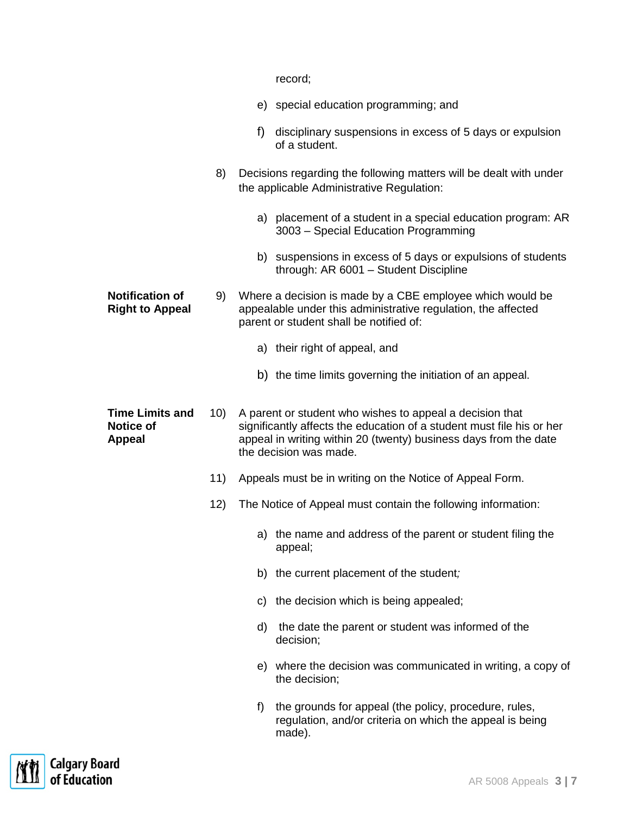|                                                             |     | record;                                                                                                                                                                                                                         |  |  |  |
|-------------------------------------------------------------|-----|---------------------------------------------------------------------------------------------------------------------------------------------------------------------------------------------------------------------------------|--|--|--|
|                                                             |     | e) special education programming; and                                                                                                                                                                                           |  |  |  |
|                                                             |     | disciplinary suspensions in excess of 5 days or expulsion<br>f)<br>of a student.                                                                                                                                                |  |  |  |
|                                                             | 8)  | Decisions regarding the following matters will be dealt with under<br>the applicable Administrative Regulation:                                                                                                                 |  |  |  |
|                                                             |     | a) placement of a student in a special education program: AR<br>3003 - Special Education Programming                                                                                                                            |  |  |  |
|                                                             |     | b) suspensions in excess of 5 days or expulsions of students<br>through: AR 6001 - Student Discipline                                                                                                                           |  |  |  |
| <b>Notification of</b><br><b>Right to Appeal</b>            | 9)  | Where a decision is made by a CBE employee which would be<br>appealable under this administrative regulation, the affected<br>parent or student shall be notified of:                                                           |  |  |  |
|                                                             |     | a) their right of appeal, and                                                                                                                                                                                                   |  |  |  |
|                                                             |     | b) the time limits governing the initiation of an appeal.                                                                                                                                                                       |  |  |  |
| <b>Time Limits and</b><br><b>Notice of</b><br><b>Appeal</b> | 10) | A parent or student who wishes to appeal a decision that<br>significantly affects the education of a student must file his or her<br>appeal in writing within 20 (twenty) business days from the date<br>the decision was made. |  |  |  |
|                                                             | 11) | Appeals must be in writing on the Notice of Appeal Form.                                                                                                                                                                        |  |  |  |
|                                                             | 12) | The Notice of Appeal must contain the following information:                                                                                                                                                                    |  |  |  |
|                                                             |     | a) the name and address of the parent or student filing the<br>appeal;                                                                                                                                                          |  |  |  |
|                                                             |     | b) the current placement of the student;                                                                                                                                                                                        |  |  |  |
|                                                             |     | c) the decision which is being appealed;                                                                                                                                                                                        |  |  |  |
|                                                             |     | the date the parent or student was informed of the<br>d)<br>decision;                                                                                                                                                           |  |  |  |
|                                                             |     | e) where the decision was communicated in writing, a copy of<br>the decision;                                                                                                                                                   |  |  |  |
|                                                             |     | the grounds for appeal (the policy, procedure, rules,<br>f)<br>regulation, and/or criteria on which the appeal is being<br>made).                                                                                               |  |  |  |

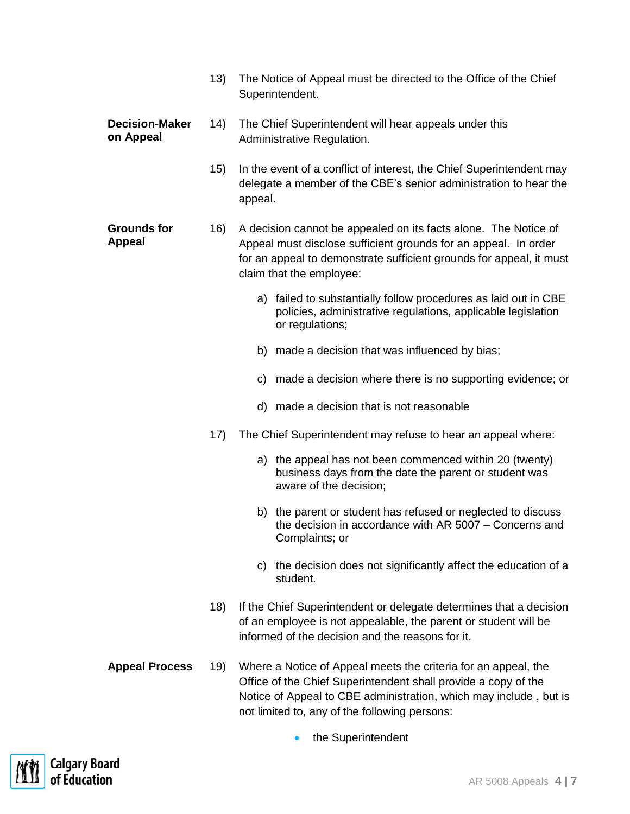|                                     | 13) | The Notice of Appeal must be directed to the Office of the Chief<br>Superintendent.                                                                                                                                                                    |  |  |  |  |  |
|-------------------------------------|-----|--------------------------------------------------------------------------------------------------------------------------------------------------------------------------------------------------------------------------------------------------------|--|--|--|--|--|
| <b>Decision-Maker</b><br>on Appeal  | 14) | The Chief Superintendent will hear appeals under this<br>Administrative Regulation.                                                                                                                                                                    |  |  |  |  |  |
|                                     | 15) | In the event of a conflict of interest, the Chief Superintendent may<br>delegate a member of the CBE's senior administration to hear the<br>appeal.                                                                                                    |  |  |  |  |  |
| <b>Grounds for</b><br><b>Appeal</b> | 16) | A decision cannot be appealed on its facts alone. The Notice of<br>Appeal must disclose sufficient grounds for an appeal. In order<br>for an appeal to demonstrate sufficient grounds for appeal, it must<br>claim that the employee:                  |  |  |  |  |  |
|                                     |     | failed to substantially follow procedures as laid out in CBE<br>a)<br>policies, administrative regulations, applicable legislation<br>or regulations;                                                                                                  |  |  |  |  |  |
|                                     |     | made a decision that was influenced by bias;<br>b)                                                                                                                                                                                                     |  |  |  |  |  |
|                                     |     | c) made a decision where there is no supporting evidence; or                                                                                                                                                                                           |  |  |  |  |  |
|                                     |     | d) made a decision that is not reasonable                                                                                                                                                                                                              |  |  |  |  |  |
|                                     | 17) | The Chief Superintendent may refuse to hear an appeal where:                                                                                                                                                                                           |  |  |  |  |  |
|                                     |     | a) the appeal has not been commenced within 20 (twenty)<br>business days from the date the parent or student was<br>aware of the decision;                                                                                                             |  |  |  |  |  |
|                                     |     | b) the parent or student has refused or neglected to discuss<br>the decision in accordance with AR 5007 – Concerns and<br>Complaints; or                                                                                                               |  |  |  |  |  |
|                                     |     | the decision does not significantly affect the education of a<br>C)<br>student.                                                                                                                                                                        |  |  |  |  |  |
|                                     | 18) | If the Chief Superintendent or delegate determines that a decision<br>of an employee is not appealable, the parent or student will be<br>informed of the decision and the reasons for it.                                                              |  |  |  |  |  |
| <b>Appeal Process</b>               | 19) | Where a Notice of Appeal meets the criteria for an appeal, the<br>Office of the Chief Superintendent shall provide a copy of the<br>Notice of Appeal to CBE administration, which may include, but is<br>not limited to, any of the following persons: |  |  |  |  |  |
|                                     |     | the Superintendent                                                                                                                                                                                                                                     |  |  |  |  |  |

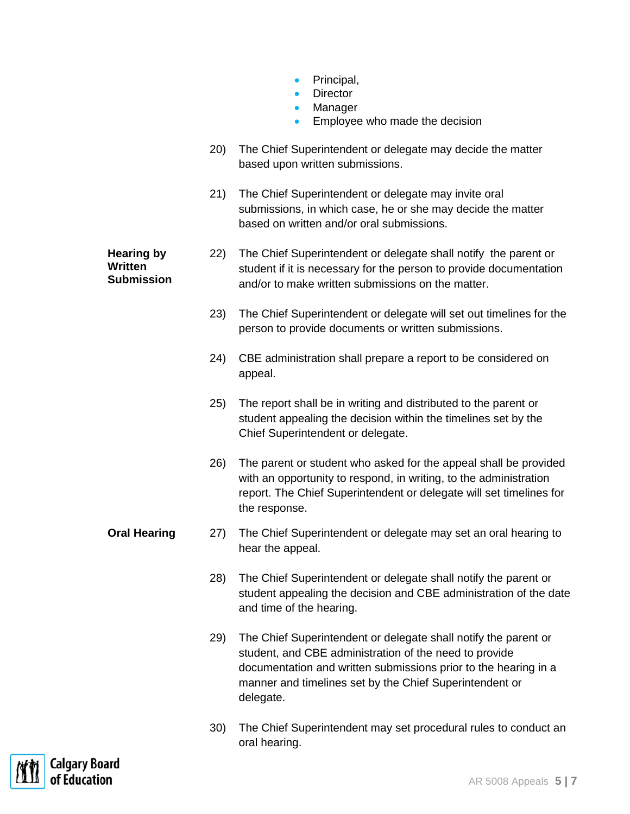- Principal,
- Director
- Manager
- **Employee who made the decision**
- 20) The Chief Superintendent or delegate may decide the matter based upon written submissions.
- 21) The Chief Superintendent or delegate may invite oral submissions, in which case, he or she may decide the matter based on written and/or oral submissions.

**Hearing by Written Submission** 22) The Chief Superintendent or delegate shall notify the parent or student if it is necessary for the person to provide documentation and/or to make written submissions on the matter.

- 23) The Chief Superintendent or delegate will set out timelines for the person to provide documents or written submissions.
- 24) CBE administration shall prepare a report to be considered on appeal.
- 25) The report shall be in writing and distributed to the parent or student appealing the decision within the timelines set by the Chief Superintendent or delegate.
- 26) The parent or student who asked for the appeal shall be provided with an opportunity to respond, in writing, to the administration report. The Chief Superintendent or delegate will set timelines for the response.
- **Oral Hearing** 27) The Chief Superintendent or delegate may set an oral hearing to hear the appeal.
	- 28) The Chief Superintendent or delegate shall notify the parent or student appealing the decision and CBE administration of the date and time of the hearing.
	- 29) The Chief Superintendent or delegate shall notify the parent or student, and CBE administration of the need to provide documentation and written submissions prior to the hearing in a manner and timelines set by the Chief Superintendent or delegate.
	- 30) The Chief Superintendent may set procedural rules to conduct an oral hearing.

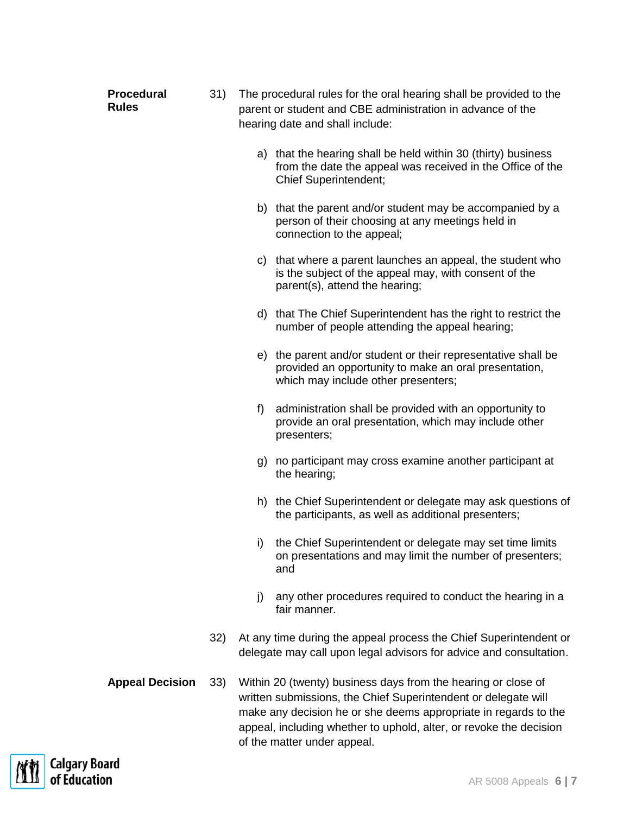| <b>Procedural</b><br><b>Rules</b>    | 31) | The procedural rules for the oral hearing shall be provided to the<br>parent or student and CBE administration in advance of the<br>hearing date and shall include:                                                                                                                                     |                                                                                                                                                               |  |
|--------------------------------------|-----|---------------------------------------------------------------------------------------------------------------------------------------------------------------------------------------------------------------------------------------------------------------------------------------------------------|---------------------------------------------------------------------------------------------------------------------------------------------------------------|--|
|                                      |     |                                                                                                                                                                                                                                                                                                         | a) that the hearing shall be held within 30 (thirty) business<br>from the date the appeal was received in the Office of the<br><b>Chief Superintendent;</b>   |  |
|                                      |     |                                                                                                                                                                                                                                                                                                         | b) that the parent and/or student may be accompanied by a<br>person of their choosing at any meetings held in<br>connection to the appeal;                    |  |
|                                      |     |                                                                                                                                                                                                                                                                                                         | c) that where a parent launches an appeal, the student who<br>is the subject of the appeal may, with consent of the<br>parent(s), attend the hearing;         |  |
|                                      |     |                                                                                                                                                                                                                                                                                                         | d) that The Chief Superintendent has the right to restrict the<br>number of people attending the appeal hearing;                                              |  |
|                                      |     |                                                                                                                                                                                                                                                                                                         | e) the parent and/or student or their representative shall be<br>provided an opportunity to make an oral presentation,<br>which may include other presenters; |  |
|                                      |     | f                                                                                                                                                                                                                                                                                                       | administration shall be provided with an opportunity to<br>provide an oral presentation, which may include other<br>presenters;                               |  |
|                                      |     | g)                                                                                                                                                                                                                                                                                                      | no participant may cross examine another participant at<br>the hearing;                                                                                       |  |
|                                      |     |                                                                                                                                                                                                                                                                                                         | h) the Chief Superintendent or delegate may ask questions of<br>the participants, as well as additional presenters;                                           |  |
|                                      |     |                                                                                                                                                                                                                                                                                                         | i) the Chief Superintendent or delegate may set time limits<br>on presentations and may limit the number of presenters;<br>and                                |  |
|                                      |     | j)                                                                                                                                                                                                                                                                                                      | any other procedures required to conduct the hearing in a<br>fair manner.                                                                                     |  |
|                                      | 32) |                                                                                                                                                                                                                                                                                                         | At any time during the appeal process the Chief Superintendent or<br>delegate may call upon legal advisors for advice and consultation.                       |  |
| <b>Appeal Decision</b>               | 33) | Within 20 (twenty) business days from the hearing or close of<br>written submissions, the Chief Superintendent or delegate will<br>make any decision he or she deems appropriate in regards to the<br>appeal, including whether to uphold, alter, or revoke the decision<br>of the matter under appeal. |                                                                                                                                                               |  |
| <b>Calgary Board</b><br>of Education |     |                                                                                                                                                                                                                                                                                                         | AR 5008 Appeals 6   7                                                                                                                                         |  |